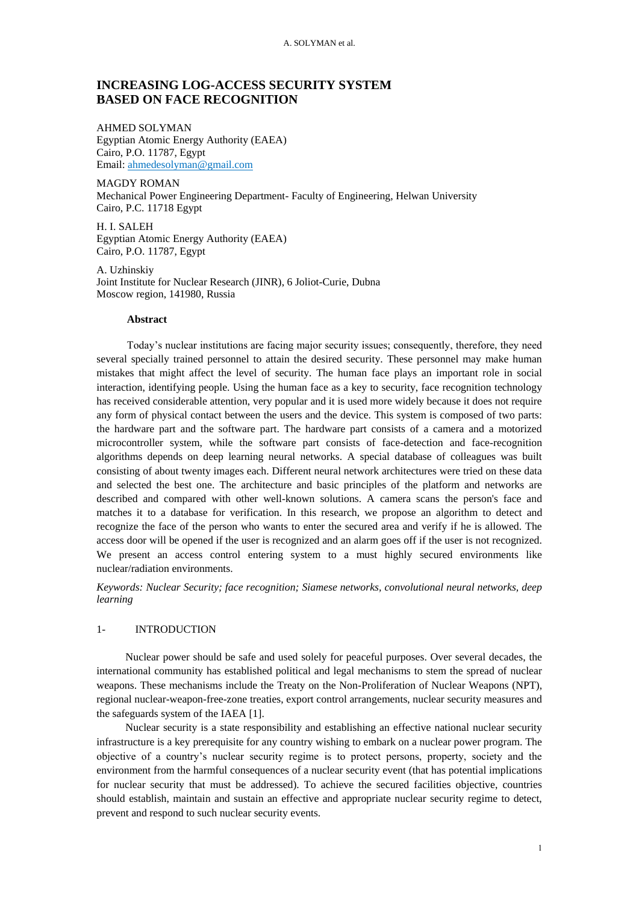A. SOLYMAN et al.

# **INCREASING LOG-ACCESS SECURITY SYSTEM BASED ON FACE RECOGNITION**

AHMED SOLYMAN Egyptian Atomic Energy Authority (EAEA) Cairo, P.O. 11787, Egypt Email: ahmedesolyman@gmail.com

MAGDY ROMAN Mechanical Power Engineering Department- Faculty of Engineering, Helwan University Cairo, P.C. 11718 Egypt

H. I. SALEH Egyptian Atomic Energy Authority (EAEA) Cairo, P.O. 11787, Egypt

A. Uzhinskiy Joint Institute for Nuclear Research (JINR), 6 Joliot-Curie, Dubna Moscow region, 141980, Russia

### **Abstract**

Today's nuclear institutions are facing major security issues; consequently, therefore, they need several specially trained personnel to attain the desired security. These personnel may make human mistakes that might affect the level of security. The human face plays an important role in social interaction, identifying people. Using the human face as a key to security, face recognition technology has received considerable attention, very popular and it is used more widely because it does not require any form of physical contact between the users and the device. This system is composed of two parts: the hardware part and the software part. The hardware part consists of a camera and a motorized microcontroller system, while the software part consists of face-detection and face-recognition algorithms depends on deep learning neural networks. A special database of colleagues was built consisting of about twenty images each. Different neural network architectures were tried on these data and selected the best one. The architecture and basic principles of the platform and networks are described and compared with other well-known solutions. A camera scans the person's face and matches it to a database for verification. In this research, we propose an algorithm to detect and recognize the face of the person who wants to enter the secured area and verify if he is allowed. The access door will be opened if the user is recognized and an alarm goes off if the user is not recognized. We present an access control entering system to a must highly secured environments like nuclear/radiation environments.

*Keywords: Nuclear Security; face recognition; Siamese networks, convolutional neural networks, deep learning*

## 1- INTRODUCTION

Nuclear power should be safe and used solely for peaceful purposes. Over several decades, the international community has established political and legal mechanisms to stem the spread of nuclear weapons. These mechanisms include the Treaty on the Non-Proliferation of Nuclear Weapons (NPT), regional nuclear-weapon-free-zone treaties, export control arrangements, nuclear security measures and the safeguards system of the IAEA [1].

Nuclear security is a state responsibility and establishing an effective national nuclear security infrastructure is a key prerequisite for any country wishing to embark on a nuclear power program. The objective of a country's nuclear security regime is to protect persons, property, society and the environment from the harmful consequences of a nuclear security event (that has potential implications for nuclear security that must be addressed). To achieve the secured facilities objective, countries should establish, maintain and sustain an effective and appropriate nuclear security regime to detect, prevent and respond to such nuclear security events.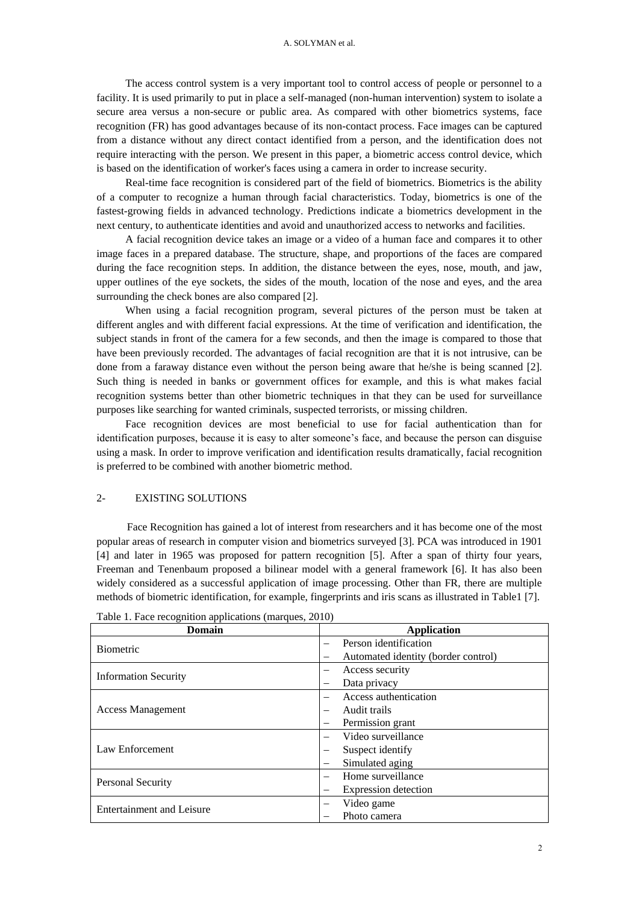The access control system is a very important tool to control access of people or personnel to a facility. It is used primarily to put in place a self-managed (non-human intervention) system to isolate a secure area versus a non-secure or public area. As compared with other biometrics systems, face recognition (FR) has good advantages because of its non-contact process. Face images can be captured from a distance without any direct contact identified from a person, and the identification does not require interacting with the person. We present in this paper, a biometric access control device, which is based on the identification of worker's faces using a camera in order to increase security.

Real-time face recognition is considered part of the field of biometrics. Biometrics is the ability of a computer to recognize a human through facial characteristics. Today, biometrics is one of the fastest-growing fields in advanced technology. Predictions indicate a biometrics development in the next century, to authenticate identities and avoid and unauthorized access to networks and facilities.

A facial recognition device takes an image or a video of a human face and compares it to other image faces in a prepared database. The structure, shape, and proportions of the faces are compared during the face recognition steps. In addition, the distance between the eyes, nose, mouth, and jaw, upper outlines of the eye sockets, the sides of the mouth, location of the nose and eyes, and the area surrounding the check bones are also compared [2].

When using a facial recognition program, several pictures of the person must be taken at different angles and with different facial expressions. At the time of verification and identification, the subject stands in front of the camera for a few seconds, and then the image is compared to those that have been previously recorded. The advantages of facial recognition are that it is not intrusive, can be done from a faraway distance even without the person being aware that he/she is being scanned [2]. Such thing is needed in banks or government offices for example, and this is what makes facial recognition systems better than other biometric techniques in that they can be used for surveillance purposes like searching for wanted criminals, suspected terrorists, or missing children.

Face recognition devices are most beneficial to use for facial authentication than for identification purposes, because it is easy to alter someone's face, and because the person can disguise using a mask. In order to improve verification and identification results dramatically, facial recognition is preferred to be combined with another biometric method.

## 2- EXISTING SOLUTIONS

Face Recognition has gained a lot of interest from researchers and it has become one of the most popular areas of research in computer vision and biometrics surveyed [3]. PCA was introduced in 1901 [4] and later in 1965 was proposed for pattern recognition [5]. After a span of thirty four years, Freeman and Tenenbaum proposed a bilinear model with a general framework [6]. It has also been widely considered as a successful application of image processing. Other than FR, there are multiple methods of biometric identification, for example, fingerprints and iris scans as illustrated in Table1 [7].

| Domain                      | <b>Application</b>                  |  |  |
|-----------------------------|-------------------------------------|--|--|
| <b>Biometric</b>            | Person identification               |  |  |
|                             | Automated identity (border control) |  |  |
| <b>Information Security</b> | Access security<br>-                |  |  |
|                             | Data privacy                        |  |  |
| <b>Access Management</b>    | Access authentication               |  |  |
|                             | Audit trails                        |  |  |
|                             | Permission grant                    |  |  |
| Law Enforcement             | Video surveillance                  |  |  |
|                             | Suspect identify                    |  |  |
|                             | Simulated aging                     |  |  |
| Personal Security           | Home surveillance                   |  |  |
|                             | Expression detection                |  |  |
| Entertainment and Leisure   | Video game<br>—                     |  |  |
|                             | Photo camera                        |  |  |

|  | Table 1. Face recognition applications (marques, 2010) |  |  |
|--|--------------------------------------------------------|--|--|
|  |                                                        |  |  |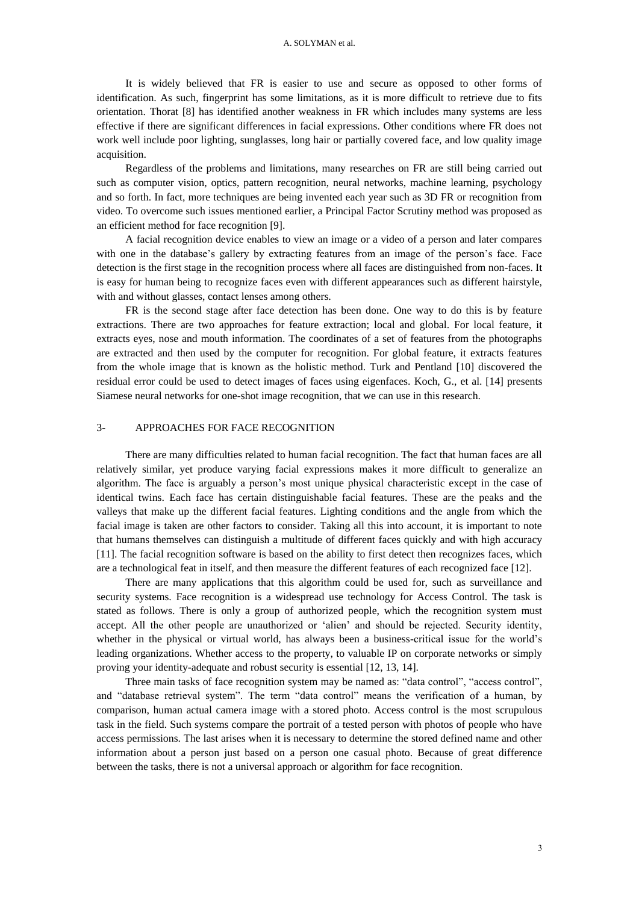#### A. SOLYMAN et al.

It is widely believed that FR is easier to use and secure as opposed to other forms of identification. As such, fingerprint has some limitations, as it is more difficult to retrieve due to fits orientation. Thorat [8] has identified another weakness in FR which includes many systems are less effective if there are significant differences in facial expressions. Other conditions where FR does not work well include poor lighting, sunglasses, long hair or partially covered face, and low quality image acquisition.

Regardless of the problems and limitations, many researches on FR are still being carried out such as computer vision, optics, pattern recognition, neural networks, machine learning, psychology and so forth. In fact, more techniques are being invented each year such as 3D FR or recognition from video. To overcome such issues mentioned earlier, a Principal Factor Scrutiny method was proposed as an efficient method for face recognition [9].

A facial recognition device enables to view an image or a video of a person and later compares with one in the database's gallery by extracting features from an image of the person's face. Face detection is the first stage in the recognition process where all faces are distinguished from non-faces. It is easy for human being to recognize faces even with different appearances such as different hairstyle, with and without glasses, contact lenses among others.

FR is the second stage after face detection has been done. One way to do this is by feature extractions. There are two approaches for feature extraction; local and global. For local feature, it extracts eyes, nose and mouth information. The coordinates of a set of features from the photographs are extracted and then used by the computer for recognition. For global feature, it extracts features from the whole image that is known as the holistic method. Turk and Pentland [10] discovered the residual error could be used to detect images of faces using eigenfaces. Koch, G., et al. [14] presents Siamese neural networks for one-shot image recognition, that we can use in this research.

### 3- APPROACHES FOR FACE RECOGNITION

There are many difficulties related to human facial recognition. The fact that human faces are all relatively similar, yet produce varying facial expressions makes it more difficult to generalize an algorithm. The face is arguably a person's most unique physical characteristic except in the case of identical twins. Each face has certain distinguishable facial features. These are the peaks and the valleys that make up the different facial features. Lighting conditions and the angle from which the facial image is taken are other factors to consider. Taking all this into account, it is important to note that humans themselves can distinguish a multitude of different faces quickly and with high accuracy [11]. The facial recognition software is based on the ability to first detect then recognizes faces, which are a technological feat in itself, and then measure the different features of each recognized face [12].

There are many applications that this algorithm could be used for, such as surveillance and security systems. Face recognition is a widespread use technology for Access Control. The task is stated as follows. There is only a group of authorized people, which the recognition system must accept. All the other people are unauthorized or 'alien' and should be rejected. Security identity, whether in the physical or virtual world, has always been a business-critical issue for the world's leading organizations. Whether access to the property, to valuable IP on corporate networks or simply proving your identity-adequate and robust security is essential [12, 13, 14].

Three main tasks of face recognition system may be named as: "data control", "access control", and "database retrieval system". The term "data control" means the verification of a human, by comparison, human actual camera image with a stored photo. Access control is the most scrupulous task in the field. Such systems compare the portrait of a tested person with photos of people who have access permissions. The last arises when it is necessary to determine the stored defined name and other information about a person just based on a person one casual photo. Because of great difference between the tasks, there is not a universal approach or algorithm for face recognition.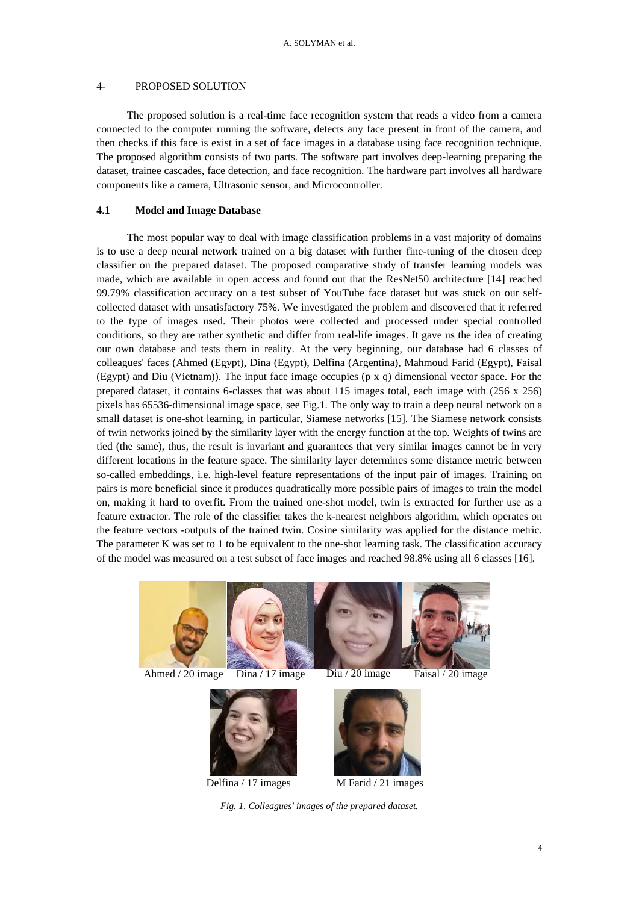### 4- PROPOSED SOLUTION

The proposed solution is a real-time face recognition system that reads a video from a camera connected to the computer running the software, detects any face present in front of the camera, and then checks if this face is exist in a set of face images in a database using face recognition technique. The proposed algorithm consists of two parts. The software part involves deep-learning preparing the dataset, trainee cascades, face detection, and face recognition. The hardware part involves all hardware components like a camera, Ultrasonic sensor, and Microcontroller.

### **4.1 Model and Image Database**

The most popular way to deal with image classification problems in a vast majority of domains is to use a deep neural network trained on a big dataset with further fine-tuning of the chosen deep classifier on the prepared dataset. The proposed comparative study of transfer learning models was made, which are available in open access and found out that the ResNet50 architecture [14] reached 99.79% classification accuracy on a test subset of YouTube face dataset but was stuck on our selfcollected dataset with unsatisfactory 75%. We investigated the problem and discovered that it referred to the type of images used. Their photos were collected and processed under special controlled conditions, so they are rather synthetic and differ from real-life images. It gave us the idea of creating our own database and tests them in reality. At the very beginning, our database had 6 classes of colleagues' faces (Ahmed (Egypt), Dina (Egypt), Delfina (Argentina), Mahmoud Farid (Egypt), Faisal (Egypt) and Diu (Vietnam)). The input face image occupies (p x q) dimensional vector space. For the prepared dataset, it contains 6-classes that was about 115 images total, each image with (256 x 256) pixels has 65536-dimensional image space, see Fig.1. The only way to train a deep neural network on a small dataset is one-shot learning, in particular, Siamese networks [15]. The Siamese network consists of twin networks joined by the similarity layer with the energy function at the top. Weights of twins are tied (the same), thus, the result is invariant and guarantees that very similar images cannot be in very different locations in the feature space. The similarity layer determines some distance metric between so-called embeddings, i.e. high-level feature representations of the input pair of images. Training on pairs is more beneficial since it produces quadratically more possible pairs of images to train the model on, making it hard to overfit. From the trained one-shot model, twin is extracted for further use as a feature extractor. The role of the classifier takes the k-nearest neighbors algorithm, which operates on the feature vectors -outputs of the trained twin. Cosine similarity was applied for the distance metric. The parameter K was set to 1 to be equivalent to the one-shot learning task. The classification accuracy of the model was measured on a test subset of face images and reached 98.8% using all 6 classes [16].



Ahmed / 20 image Dina / 17 image Diu / 20 image





Delfina / 17 images



 $\overline{M}$  Farid / 21 images

*Fig. 1. Colleagues' images of the prepared dataset.*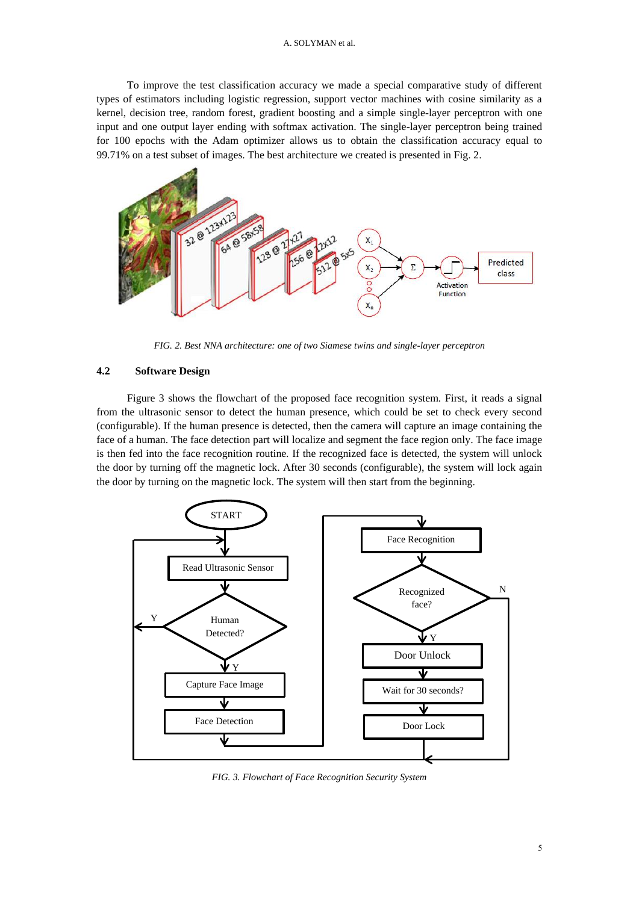#### A. SOLYMAN et al.

To improve the test classification accuracy we made a special comparative study of different types of estimators including logistic regression, support vector machines with cosine similarity as a kernel, decision tree, random forest, gradient boosting and a simple single-layer perceptron with one input and one output layer ending with softmax activation. The single-layer perceptron being trained for 100 epochs with the Adam optimizer allows us to obtain the classification accuracy equal to 99.71% on a test subset of images. The best architecture we created is presented in Fig. 2.



*FIG. 2. Best NNA architecture: one of two Siamese twins and single-layer perceptron*

### **4.2 Software Design**

Figure 3 shows the flowchart of the proposed face recognition system. First, it reads a signal from the ultrasonic sensor to detect the human presence, which could be set to check every second (configurable). If the human presence is detected, then the camera will capture an image containing the face of a human. The face detection part will localize and segment the face region only. The face image is then fed into the face recognition routine. If the recognized face is detected, the system will unlock the door by turning off the magnetic lock. After 30 seconds (configurable), the system will lock again the door by turning on the magnetic lock. The system will then start from the beginning.



*FIG. 3. Flowchart of Face Recognition Security System*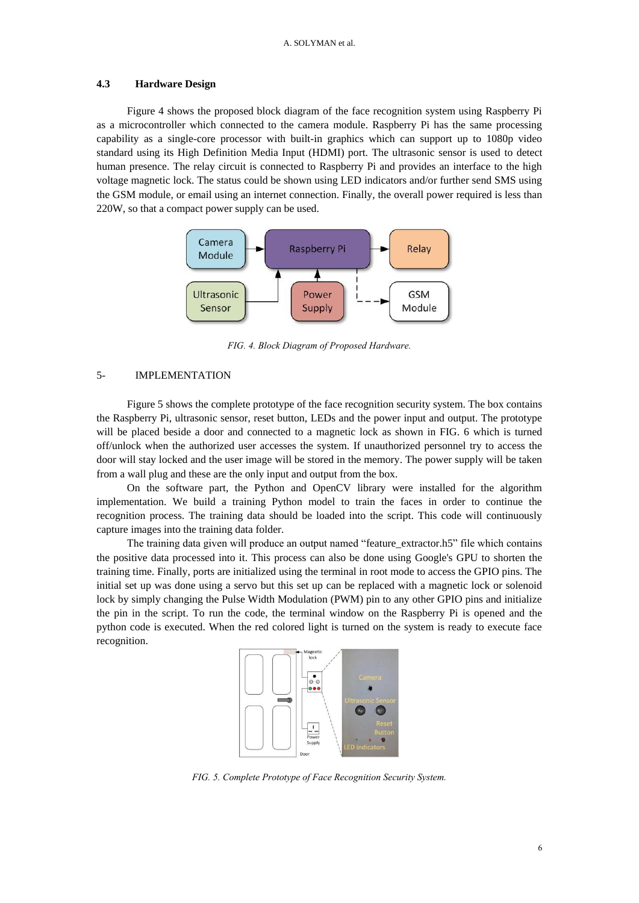#### **4.3 Hardware Design**

Figure 4 shows the proposed block diagram of the face recognition system using Raspberry Pi as a microcontroller which connected to the camera module. Raspberry Pi has the same processing capability as a single-core processor with built-in graphics which can support up to 1080p video standard using its High Definition Media Input (HDMI) port. The ultrasonic sensor is used to detect human presence. The relay circuit is connected to Raspberry Pi and provides an interface to the high voltage magnetic lock. The status could be shown using LED indicators and/or further send SMS using the GSM module, or email using an internet connection. Finally, the overall power required is less than 220W, so that a compact power supply can be used.



*FIG. 4. Block Diagram of Proposed Hardware.*

## 5- IMPLEMENTATION

Figure 5 shows the complete prototype of the face recognition security system. The box contains the Raspberry Pi, ultrasonic sensor, reset button, LEDs and the power input and output. The prototype will be placed beside a door and connected to a magnetic lock as shown in FIG. 6 which is turned off/unlock when the authorized user accesses the system. If unauthorized personnel try to access the door will stay locked and the user image will be stored in the memory. The power supply will be taken from a wall plug and these are the only input and output from the box.

On the software part, the Python and OpenCV library were installed for the algorithm implementation. We build a training Python model to train the faces in order to continue the recognition process. The training data should be loaded into the script. This code will continuously capture images into the training data folder.

The training data given will produce an output named "feature\_extractor.h5" file which contains the positive data processed into it. This process can also be done using Google's GPU to shorten the training time. Finally, ports are initialized using the terminal in root mode to access the GPIO pins. The initial set up was done using a servo but this set up can be replaced with a magnetic lock or solenoid lock by simply changing the Pulse Width Modulation (PWM) pin to any other GPIO pins and initialize the pin in the script. To run the code, the terminal window on the Raspberry Pi is opened and the python code is executed. When the red colored light is turned on the system is ready to execute face recognition.



*FIG. 5. Complete Prototype of Face Recognition Security System.*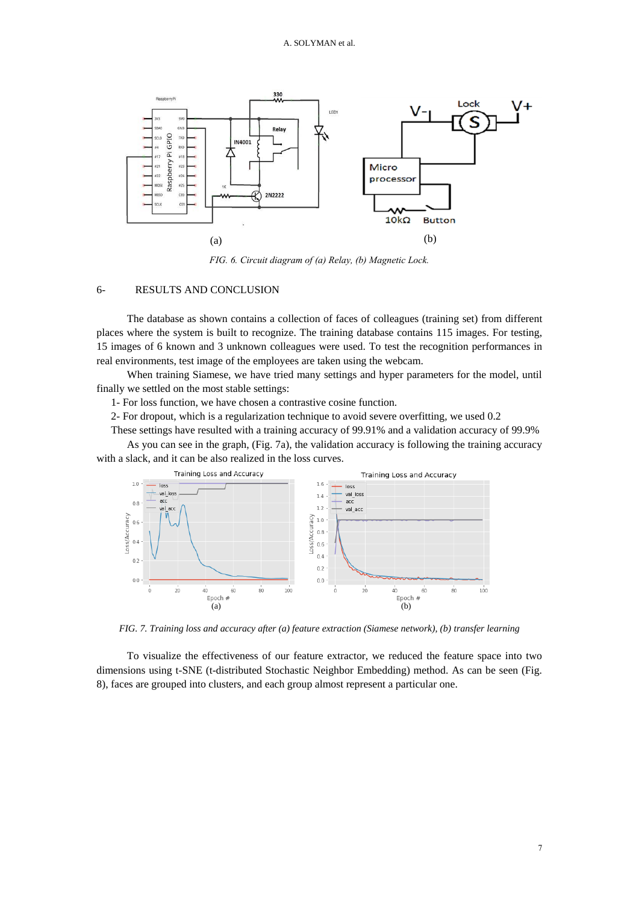

*FIG. 6. Circuit diagram of (a) Relay, (b) Magnetic Lock.*

## 6- RESULTS AND CONCLUSION

The database as shown contains a collection of faces of colleagues (training set) from different places where the system is built to recognize. The training database contains 115 images. For testing, 15 images of 6 known and 3 unknown colleagues were used. To test the recognition performances in real environments, test image of the employees are taken using the webcam.

When training Siamese, we have tried many settings and hyper parameters for the model, until finally we settled on the most stable settings:

1- For loss function, we have chosen a contrastive cosine function.

2- For dropout, which is a regularization technique to avoid severe overfitting, we used 0.2

These settings have resulted with a training accuracy of 99.91% and a validation accuracy of 99.9%

As you can see in the graph, (Fig. 7a), the validation accuracy is following the training accuracy with a slack, and it can be also realized in the loss curves.



*FIG. 7. Training loss and accuracy after (a) feature extraction (Siamese network), (b) transfer learning*

To visualize the effectiveness of our feature extractor, we reduced the feature space into two dimensions using t-SNE (t-distributed Stochastic Neighbor Embedding) method. As can be seen (Fig. 8), faces are grouped into clusters, and each group almost represent a particular one.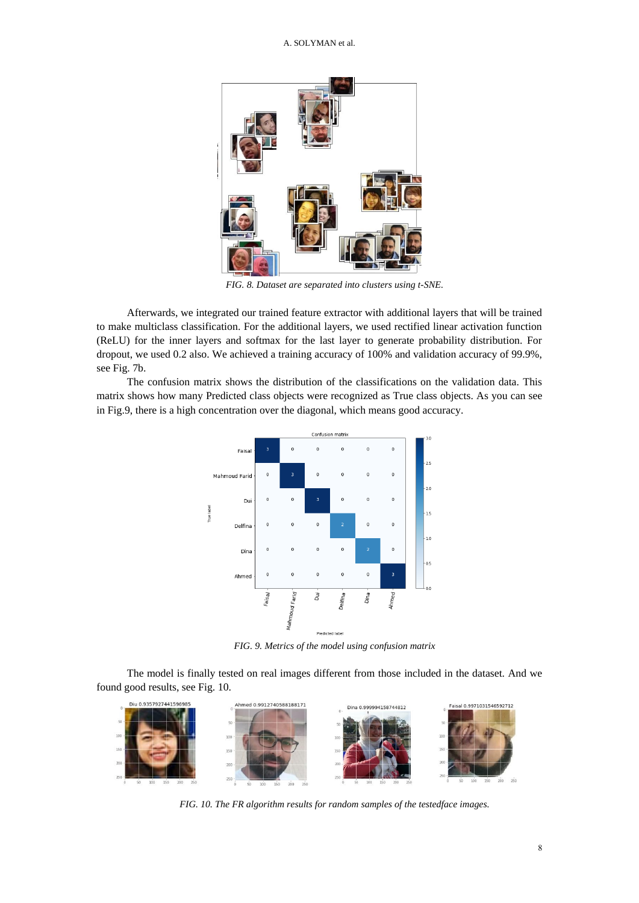

*FIG. 8. Dataset are separated into clusters using t-SNE.*

Afterwards, we integrated our trained feature extractor with additional layers that will be trained to make multiclass classification. For the additional layers, we used rectified linear activation function (ReLU) for the inner layers and softmax for the last layer to generate probability distribution. For dropout, we used 0.2 also. We achieved a training accuracy of 100% and validation accuracy of 99.9%, see Fig. 7b.

The confusion matrix shows the distribution of the classifications on the validation data. This matrix shows how many Predicted class objects were recognized as True class objects. As you can see in Fig.9, there is a high concentration over the diagonal, which means good accuracy.



*FIG. 9. Metrics of the model using confusion matrix*

The model is finally tested on real images different from those included in the dataset. And we found good results, see Fig. 10.



*FIG. 10. The FR algorithm results for random samples of the testedface images.*